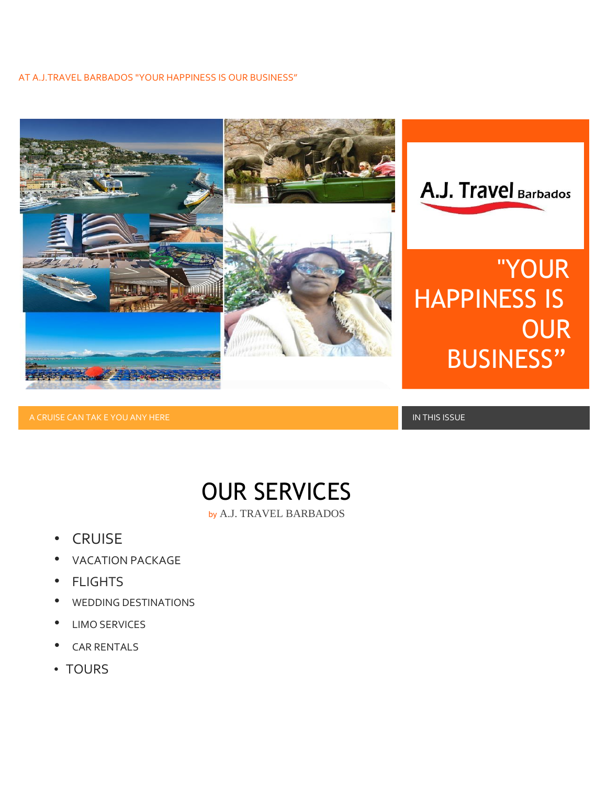#### AT A.J.TRAVEL BARBADOS "YOUR HAPPINESS IS OUR BUSINESS"



A CRUISE CAN TAK E YOU ANY HERE IN THIS ISSUE IN THIS ISSUE IN THIS ISSUE IN THIS ISSUE IN THIS ISSUE IN THIS I



- **CRUISE**
- VACATION PACKAGE
- **FLIGHTS**
- WEDDING DESTINATIONS
- LIMO SERVICES
- **CAR RENTALS**
- TOURS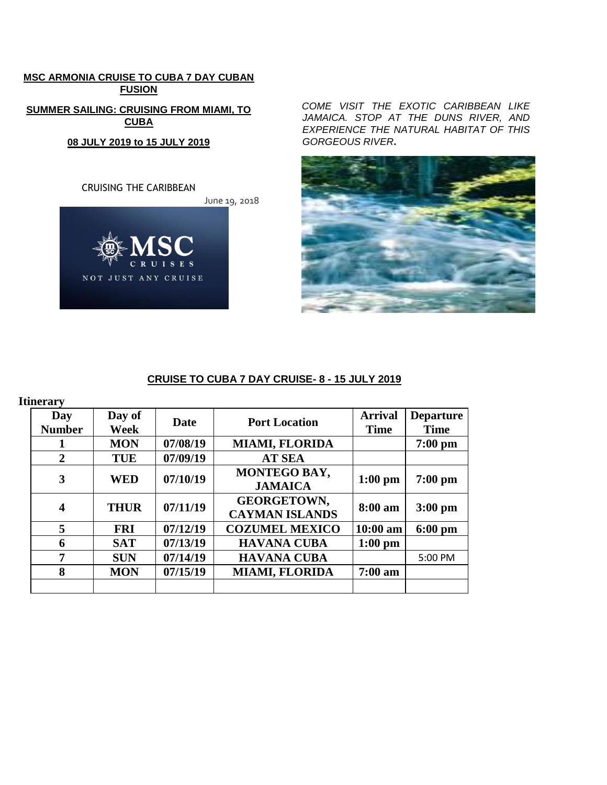# **MSC ARMONIA CRUISE TO CUBA 7 DAY CUBAN FUSION SUMMER SAILING: CRUISING FROM MIAMI, TO CUBA 08 JULY 2019 to 15 JULY 2019**



*COME VISIT THE EXOTIC CARIBBEAN LIKE JAMAICA. STOP AT THE DUNS RIVER, AND EXPERIENCE THE NATURAL HABITAT OF THIS GORGEOUS RIVER***.**



# **CRUISE TO CUBA 7 DAY CRUISE- 8 - 15 JULY 2019**

| <b>Itinerary</b>        |                |          |                                             |                               |                                 |
|-------------------------|----------------|----------|---------------------------------------------|-------------------------------|---------------------------------|
| Day<br><b>Number</b>    | Day of<br>Week | Date     | <b>Port Location</b>                        | <b>Arrival</b><br><b>Time</b> | <b>Departure</b><br><b>Time</b> |
|                         | <b>MON</b>     | 07/08/19 | <b>MIAMI, FLORIDA</b>                       |                               | $7:00$ pm                       |
| $\overline{2}$          | <b>TUE</b>     | 07/09/19 | <b>AT SEA</b>                               |                               |                                 |
| 3                       | <b>WED</b>     | 07/10/19 | MONTEGO BAY,<br><b>JAMAICA</b>              | $1:00$ pm                     | $7:00$ pm                       |
| $\overline{\mathbf{4}}$ | <b>THUR</b>    | 07/11/19 | <b>GEORGETOWN,</b><br><b>CAYMAN ISLANDS</b> | 8:00 am                       | $3:00$ pm                       |
| 5                       | <b>FRI</b>     | 07/12/19 | <b>COZUMEL MEXICO</b>                       | $10:00$ am                    | $6:00 \text{ pm}$               |
| 6                       | <b>SAT</b>     | 07/13/19 | <b>HAVANA CUBA</b>                          | $1:00$ pm                     |                                 |
| 7                       | <b>SUN</b>     | 07/14/19 | <b>HAVANA CUBA</b>                          |                               | 5:00 PM                         |
| 8                       | <b>MON</b>     | 07/15/19 | <b>MIAMI, FLORIDA</b>                       | $7:00$ am                     |                                 |
|                         |                |          |                                             |                               |                                 |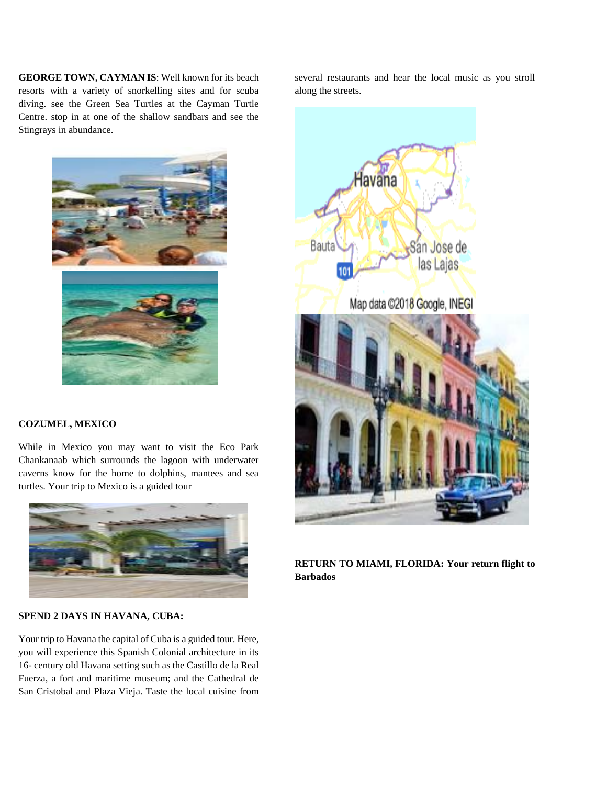**GEORGE TOWN, CAYMAN IS**: Well known for its beach resorts with a variety of snorkelling sites and for scuba diving. see the Green Sea Turtles at the Cayman Turtle Centre. stop in at one of the shallow sandbars and see the Stingrays in abundance.



#### **COZUMEL, MEXICO**

While in Mexico you may want to visit the Eco Park Chankanaab which surrounds the lagoon with underwater caverns know for the home to dolphins, mantees and sea turtles. Your trip to Mexico is a guided tour



### **SPEND 2 DAYS IN HAVANA, CUBA:**

Your trip to Havana the capital of Cuba is a guided tour. Here, you will experience this Spanish Colonial architecture in its 16- century old Havana setting such as the Castillo de la Real Fuerza, a fort and maritime museum; and the Cathedral de San Cristobal and Plaza Vieja. Taste the local cuisine from

several restaurants and hear the local music as you stroll along the streets.



**RETURN TO MIAMI, FLORIDA: Your return flight to Barbados**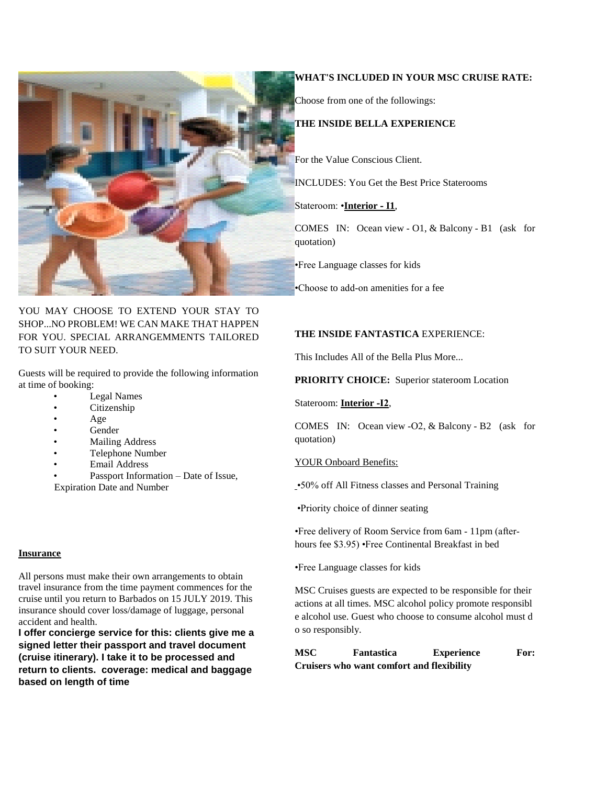

YOU MAY CHOOSE TO EXTEND YOUR STAY TO SHOP...NO PROBLEM! WE CAN MAKE THAT HAPPEN FOR YOU. SPECIAL ARRANGEMMENTS TAILORED TO SUIT YOUR NEED.

Guests will be required to provide the following information at time of booking:

- Legal Names
- Citizenship
- Age
- Gender
- **Mailing Address**
- Telephone Number
- Email Address
- Passport Information Date of Issue, Expiration Date and Number

#### **Insurance**

All persons must make their own arrangements to obtain travel insurance from the time payment commences for the cruise until you return to Barbados on 15 JULY 2019. This insurance should cover loss/damage of luggage, personal accident and health.

**I offer concierge service for this: clients give me a signed letter their passport and travel document (cruise itinerary). I take it to be processed and return to clients. coverage: medical and baggage based on length of time**

#### **WHAT'S INCLUDED IN YOUR MSC CRUISE RATE:**

Choose from one of the followings:

## **THE INSIDE BELLA EXPERIENCE**

For the Value Conscious Client.

INCLUDES: You Get the Best Price Staterooms

Stateroom: •**Interior ‐ I1**,

COMES IN: Ocean view ‐ O1, & Balcony ‐ B1 (ask for quotation)

•Free Language classes for kids

 •Choose to add‐on amenities for a fee

### **THE INSIDE FANTASTICA** EXPERIENCE:

This Includes All of the Bella Plus More...

**PRIORITY CHOICE:** Superior stateroom Location

Stateroom: **Interior ‐I2**,

COMES IN: Ocean view ‐O2, & Balcony ‐ B2 (ask for quotation)

YOUR Onboard Benefits:

•50% off All Fitness classes and Personal Training

•Priority choice of dinner seating

•Free delivery of Room Service from 6am ‐ 11pm (after‐ hours fee \$3.95) •Free Continental Breakfast in bed

•Free Language classes for kids

MSC Cruises guests are expected to be responsible for their actions at all times. MSC alcohol policy promote responsibl e alcohol use. Guest who choose to consume alcohol must d o so responsibly.

**MSC Fantastica Experience For: Cruisers who want comfort and flexibility**